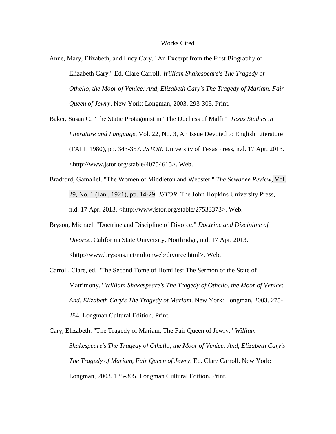## Works Cited

- Anne, Mary, Elizabeth, and Lucy Cary. "An Excerpt from the First Biography of Elizabeth Cary." Ed. Clare Carroll. *William Shakespeare's The Tragedy of Othello, the Moor of Venice: And, Elizabeth Cary's The Tragedy of Mariam, Fair Queen of Jewry*. New York: Longman, 2003. 293-305. Print.
- Baker, Susan C. "The Static Protagonist in "The Duchess of Malfi"" *Texas Studies in Literature and Language*, Vol. 22, No. 3, An Issue Devoted to English Literature (FALL 1980), pp. 343-357. *JSTOR*. University of Texas Press, n.d. 17 Apr. 2013. <http://www.jstor.org/stable/40754615>. Web.
- Bradford, Gamaliel. "The Women of Middleton and Webster." *The Sewanee Review*, Vol. 29, No. 1 (Jan., 1921), pp. 14-29. *JSTOR*. The John Hopkins University Press, n.d. 17 Apr. 2013. <http://www.jstor.org/stable/27533373>. Web.
- Bryson, Michael. "Doctrine and Discipline of Divorce." *Doctrine and Discipline of Divorce*. California State University, Northridge, n.d. 17 Apr. 2013. <http://www.brysons.net/miltonweb/divorce.html>. Web.
- Carroll, Clare, ed. "The Second Tome of Homilies: The Sermon of the State of Matrimony." *William Shakespeare's The Tragedy of Othello, the Moor of Venice: And, Elizabeth Cary's The Tragedy of Mariam*. New York: Longman, 2003. 275- 284. Longman Cultural Edition. Print.

Cary, Elizabeth. "The Tragedy of Mariam, The Fair Queen of Jewry." *William Shakespeare's The Tragedy of Othello, the Moor of Venice: And, Elizabeth Cary's The Tragedy of Mariam, Fair Queen of Jewry*. Ed. Clare Carroll. New York: Longman, 2003. 135-305. Longman Cultural Edition. Print.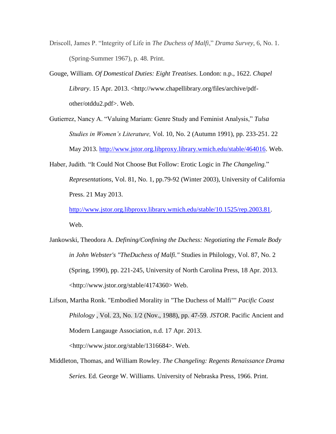- Driscoll, James P. "Integrity of Life in *The Duchess of Malfi*," *Drama Survey*, 6, No. 1. (Spring-Summer 1967), p. 48. Print.
- Gouge, William. *Of Domestical Duties: Eight Treatises*. London: n.p., 1622. *Chapel Library*. 15 Apr. 2013. <http://www.chapellibrary.org/files/archive/pdfother/otddu2.pdf>. Web.
- Gutierrez, Nancy A. "Valuing Mariam: Genre Study and Feminist Analysis," *Tulsa Studies in Women's Literature,* Vol. 10, No. 2 (Autumn 1991), pp. 233-251. 22 May 2013. [http://www.jstor.org.libproxy.library.wmich.edu/stable/464016.](http://www.jstor.org.libproxy.library.wmich.edu/stable/464016) Web.
- Haber, Judith. "It Could Not Choose But Follow: Erotic Logic in *The Changeling.*" *Representations*, Vol. 81, No. 1, pp.79-92 (Winter 2003), University of California Press. 21 May 2013. [http://www.jstor.org.libproxy.library.wmich.edu/stable/10.1525/rep.2003.81.](http://www.jstor.org.libproxy.library.wmich.edu/stable/10.1525/rep.2003.81)

Web.

- Jankowski, Theodora A. *Defining/Confining the Duchess: Negotiating the Female Body in John Webster's "TheDuchess of Malfi."* Studies in Philology, Vol. 87, No. 2 (Spring, 1990), pp. 221-245, University of North Carolina Press, 18 Apr. 2013. <http://www.jstor.org/stable/4174360> Web.
- Lifson, Martha Ronk. "Embodied Morality in "The Duchess of Malfi"" *Pacific Coast Philology* , Vol. 23, No. 1/2 (Nov., 1988), pp. 47-59. *JSTOR*. Pacific Ancient and Modern Langauge Association, n.d. 17 Apr. 2013. <http://www.jstor.org/stable/1316684>. Web.
- Middleton, Thomas, and William Rowley. *The Changeling: Regents Renaissance Drama Series.* Ed. George W. Williams. University of Nebraska Press, 1966. Print.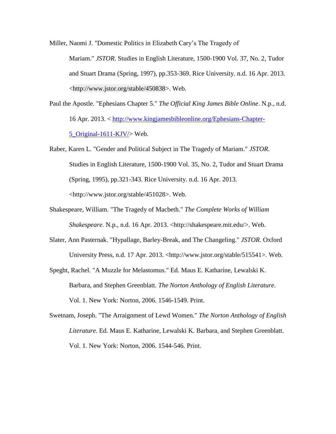Miller, Naomi J. "Domestic Politics in Elizabeth Cary's The Tragedy of Mariam." *JSTOR*. Studies in English Literature, 1500-1900 Vol. 37, No. 2, Tudor and Stuart Drama (Spring, 1997), pp.353-369. Rice University. n.d. 16 Apr. 2013. <http://www.jstor.org/stable/450838>. Web.

- Paul the Apostle. "Ephesians Chapter 5." *The Official King James Bible Online*. N.p., n.d. 16 Apr. 2013. < [http://www.kingjamesbibleonline.org/Ephesians-Chapter-](http://www.kingjamesbibleonline.org/Ephesians-Chapter-5_Original-1611-KJV/)[5\\_Original-1611-KJV/>](http://www.kingjamesbibleonline.org/Ephesians-Chapter-5_Original-1611-KJV/) Web.
- Raber, Karen L. "Gender and Political Subject in The Tragedy of Mariam." *JSTOR*. Studies in English Literature, 1500-1900 Vol. 35, No. 2, Tudor and Stuart Drama (Spring, 1995), pp.321-343. Rice University. n.d. 16 Apr. 2013. <http://www.jstor.org/stable/451028>. Web.
- Shakespeare, William. "The Tragedy of Macbeth." *The Complete Works of William Shakespeare*. N.p., n.d. 16 Apr. 2013. <http://shakespeare.mit.edu/>. Web.
- Slater, Ann Pasternak. "Hypallage, Barley-Break, and The Changeling." *JSTOR*. Oxford University Press, n.d. 17 Apr. 2013. <http://www.jstor.org/stable/515541>. Web.
- Speght, Rachel. "A Muzzle for Melastomus." Ed. Maus E. Katharine, Lewalski K. Barbara, and Stephen Greenblatt. *The Norton Anthology of English Literature*. Vol. 1. New York: Norton, 2006. 1546-1549. Print.
- Swetnam, Joseph. "The Arraignment of Lewd Women." *The Norton Anthology of English Literature*. Ed. Maus E. Katharine, Lewalski K. Barbara, and Stephen Greenblatt. Vol. 1. New York: Norton, 2006. 1544-546. Print.